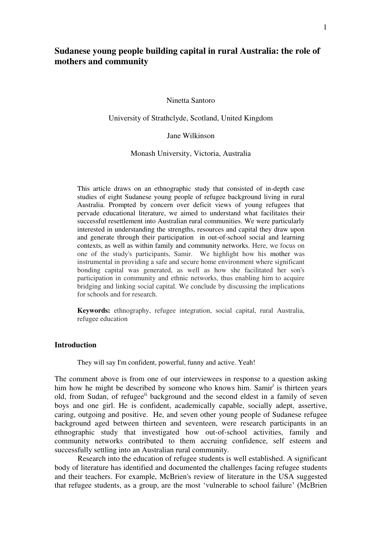# **Sudanese young people building capital in rural Australia: the role of mothers and community**

Ninetta Santoro

University of Strathclyde, Scotland, United Kingdom

Jane Wilkinson

Monash University, Victoria, Australia

This article draws on an ethnographic study that consisted of in-depth case studies of eight Sudanese young people of refugee background living in rural Australia. Prompted by concern over deficit views of young refugees that pervade educational literature, we aimed to understand what facilitates their successful resettlement into Australian rural communities. We were particularly interested in understanding the strengths, resources and capital they draw upon and generate through their participation in out-of-school social and learning contexts, as well as within family and community networks. Here, we focus on one of the study's participants, Samir. We highlight how his mother was instrumental in providing a safe and secure home environment where significant bonding capital was generated, as well as how she facilitated her son's participation in community and ethnic networks, thus enabling him to acquire bridging and linking social capital. We conclude by discussing the implications for schools and for research.

**Keywords:** ethnography, refugee integration, social capital, rural Australia, refugee education

# **Introduction**

They will say I'm confident, powerful, funny and active. Yeah!

The comment above is from one of our interviewees in response to a question asking him how he might be described by someone who knows him. Samir<sup>i</sup> is thirteen years old, from Sudan, of refugee<sup>ii</sup> background and the second eldest in a family of seven boys and one girl. He is confident, academically capable, socially adept, assertive, caring, outgoing and positive. He, and seven other young people of Sudanese refugee background aged between thirteen and seventeen, were research participants in an ethnographic study that investigated how out-of-school activities, family and community networks contributed to them accruing confidence, self esteem and successfully settling into an Australian rural community.

Research into the education of refugee students is well established. A significant body of literature has identified and documented the challenges facing refugee students and their teachers. For example, McBrien's review of literature in the USA suggested that refugee students, as a group, are the most 'vulnerable to school failure' (McBrien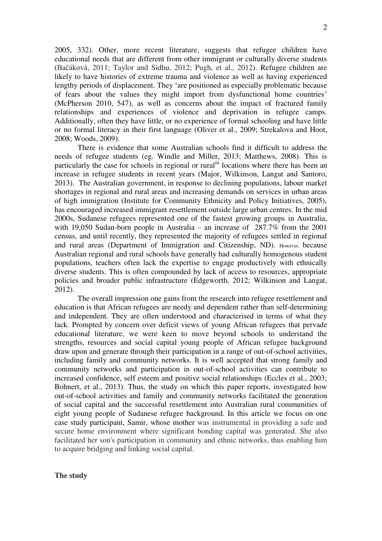2005, 332). Other, more recent literature, suggests that refugee children have educational needs that are different from other immigrant or culturally diverse students (Bačáková, 2011; Taylor and Sidhu, 2012; Pugh, et al., 2012). Refugee children are likely to have histories of extreme trauma and violence as well as having experienced lengthy periods of displacement. They 'are positioned as especially problematic because of fears about the values they might import from dysfunctional home countries' (McPherson 2010, 547), as well as concerns about the impact of fractured family relationships and experiences of violence and deprivation in refugee camps. Additionally, often they have little, or no experience of formal schooling and have little or no formal literacy in their first language (Oliver et al., 2009; Strekalova and Hoot, 2008; Woods, 2009).

There is evidence that some Australian schools find it difficult to address the needs of refugee students (eg. Windle and Miller, 2013; Matthews, 2008). This is particularly the case for schools in regional or rural<sup>iii</sup> locations where there has been an increase in refugee students in recent years (Major, Wilkinson, Langat and Santoro, 2013). The Australian government, in response to declining populations, labour market shortages in regional and rural areas and increasing demands on services in urban areas of high immigration (Institute for Community Ethnicity and Policy Initiatives, 2005), has encouraged increased immigrant resettlement outside large urban centres. In the mid 2000s, Sudanese refugees represented one of the fastest growing groups in Australia, with 19,050 Sudan-born people in Australia – an increase of 287.7% from the 2001 census, and until recently, they represented the majority of refugees settled in regional and rural areas (Department of Immigration and Citizenship, ND). However, because Australian regional and rural schools have generally had culturally homogenous student populations, teachers often lack the expertise to engage productively with ethnically diverse students. This is often compounded by lack of access to resources, appropriate policies and broader public infrastructure (Edgeworth, 2012; Wilkinson and Langat, 2012).

The overall impression one gains from the research into refugee resettlement and education is that African refugees are needy and dependent rather than self-determining and independent. They are often understood and characterised in terms of what they lack. Prompted by concern over deficit views of young African refugees that pervade educational literature, we were keen to move beyond schools to understand the strengths, resources and social capital young people of African refugee background draw upon and generate through their participation in a range of out-of-school activities, including family and community networks. It is well accepted that strong family and community networks and participation in out-of-school activities can contribute to increased confidence, self esteem and positive social relationships (Eccles et al., 2003; Bohnert, et al., 2013). Thus, the study on which this paper reports, investigated how out-of-school activities and family and community networks facilitated the generation of social capital and the successful resettlement into Australian rural communities of eight young people of Sudanese refugee background. In this article we focus on one case study participant, Samir, whose mother was instrumental in providing a safe and secure home environment where significant bonding capital was generated. She also facilitated her son's participation in community and ethnic networks, thus enabling him to acquire bridging and linking social capital.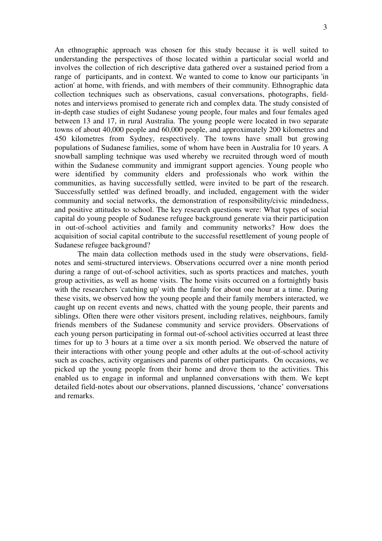An ethnographic approach was chosen for this study because it is well suited to understanding the perspectives of those located within a particular social world and involves the collection of rich descriptive data gathered over a sustained period from a range of participants, and in context. We wanted to come to know our participants 'in action' at home, with friends, and with members of their community. Ethnographic data collection techniques such as observations, casual conversations, photographs, fieldnotes and interviews promised to generate rich and complex data. The study consisted of in-depth case studies of eight Sudanese young people, four males and four females aged between 13 and 17, in rural Australia. The young people were located in two separate towns of about 40,000 people and 60,000 people, and approximately 200 kilometres and 450 kilometres from Sydney, respectively. The towns have small but growing populations of Sudanese families, some of whom have been in Australia for 10 years. A

snowball sampling technique was used whereby we recruited through word of mouth within the Sudanese community and immigrant support agencies. Young people who were identified by community elders and professionals who work within the communities, as having successfully settled, were invited to be part of the research. 'Successfully settled' was defined broadly, and included, engagement with the wider community and social networks, the demonstration of responsibility/civic mindedness, and positive attitudes to school. The key research questions were: What types of social capital do young people of Sudanese refugee background generate via their participation in out-of-school activities and family and community networks? How does the acquisition of social capital contribute to the successful resettlement of young people of Sudanese refugee background?

The main data collection methods used in the study were observations, fieldnotes and semi-structured interviews. Observations occurred over a nine month period during a range of out-of-school activities, such as sports practices and matches, youth group activities, as well as home visits. The home visits occurred on a fortnightly basis with the researchers 'catching up' with the family for about one hour at a time. During these visits, we observed how the young people and their family members interacted, we caught up on recent events and news, chatted with the young people, their parents and siblings. Often there were other visitors present, including relatives, neighbours, family friends members of the Sudanese community and service providers. Observations of each young person participating in formal out-of-school activities occurred at least three times for up to 3 hours at a time over a six month period. We observed the nature of their interactions with other young people and other adults at the out-of-school activity such as coaches, activity organisers and parents of other participants. On occasions, we picked up the young people from their home and drove them to the activities. This enabled us to engage in informal and unplanned conversations with them. We kept detailed field-notes about our observations, planned discussions, 'chance' conversations and remarks.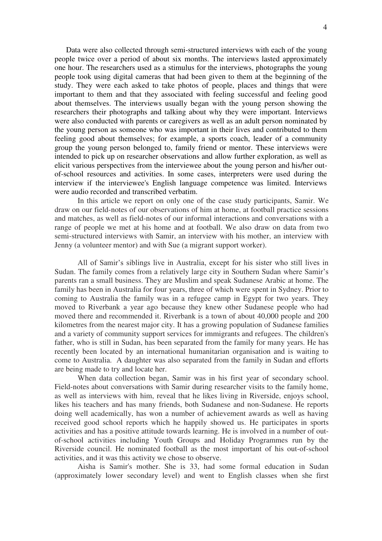Data were also collected through semi-structured interviews with each of the young people twice over a period of about six months. The interviews lasted approximately one hour. The researchers used as a stimulus for the interviews, photographs the young people took using digital cameras that had been given to them at the beginning of the study. They were each asked to take photos of people, places and things that were important to them and that they associated with feeling successful and feeling good about themselves. The interviews usually began with the young person showing the researchers their photographs and talking about why they were important. Interviews were also conducted with parents or caregivers as well as an adult person nominated by the young person as someone who was important in their lives and contributed to them feeling good about themselves; for example, a sports coach, leader of a community group the young person belonged to, family friend or mentor. These interviews were intended to pick up on researcher observations and allow further exploration, as well as elicit various perspectives from the interviewee about the young person and his/her outof-school resources and activities. In some cases, interpreters were used during the interview if the interviewee's English language competence was limited. Interviews were audio recorded and transcribed verbatim.

In this article we report on only one of the case study participants, Samir. We draw on our field-notes of our observations of him at home, at football practice sessions and matches, as well as field-notes of our informal interactions and conversations with a range of people we met at his home and at football. We also draw on data from two semi-structured interviews with Samir, an interview with his mother, an interview with Jenny (a volunteer mentor) and with Sue (a migrant support worker).

All of Samir's siblings live in Australia, except for his sister who still lives in Sudan. The family comes from a relatively large city in Southern Sudan where Samir's parents ran a small business. They are Muslim and speak Sudanese Arabic at home. The family has been in Australia for four years, three of which were spent in Sydney. Prior to coming to Australia the family was in a refugee camp in Egypt for two years. They moved to Riverbank a year ago because they knew other Sudanese people who had moved there and recommended it. Riverbank is a town of about 40,000 people and 200 kilometres from the nearest major city. It has a growing population of Sudanese families and a variety of community support services for immigrants and refugees. The children's father, who is still in Sudan, has been separated from the family for many years. He has recently been located by an international humanitarian organisation and is waiting to come to Australia. A daughter was also separated from the family in Sudan and efforts are being made to try and locate her.

When data collection began, Samir was in his first year of secondary school. Field-notes about conversations with Samir during researcher visits to the family home, as well as interviews with him, reveal that he likes living in Riverside, enjoys school, likes his teachers and has many friends, both Sudanese and non-Sudanese. He reports doing well academically, has won a number of achievement awards as well as having received good school reports which he happily showed us. He participates in sports activities and has a positive attitude towards learning. He is involved in a number of outof-school activities including Youth Groups and Holiday Programmes run by the Riverside council. He nominated football as the most important of his out-of-school activities, and it was this activity we chose to observe.

Aisha is Samir's mother. She is 33, had some formal education in Sudan (approximately lower secondary level) and went to English classes when she first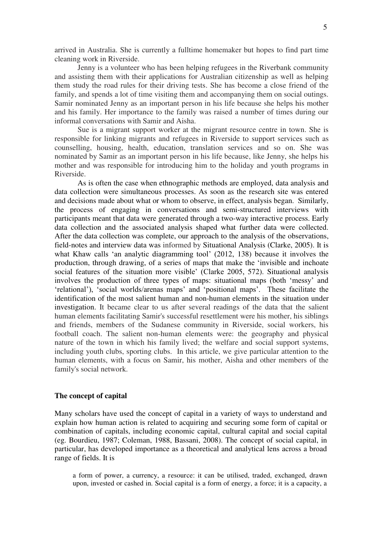arrived in Australia. She is currently a fulltime homemaker but hopes to find part time cleaning work in Riverside.

 Jenny is a volunteer who has been helping refugees in the Riverbank community and assisting them with their applications for Australian citizenship as well as helping them study the road rules for their driving tests. She has become a close friend of the family, and spends a lot of time visiting them and accompanying them on social outings. Samir nominated Jenny as an important person in his life because she helps his mother and his family. Her importance to the family was raised a number of times during our informal conversations with Samir and Aisha.

Sue is a migrant support worker at the migrant resource centre in town. She is responsible for linking migrants and refugees in Riverside to support services such as counselling, housing, health, education, translation services and so on. She was nominated by Samir as an important person in his life because, like Jenny, she helps his mother and was responsible for introducing him to the holiday and youth programs in Riverside.

As is often the case when ethnographic methods are employed, data analysis and data collection were simultaneous processes. As soon as the research site was entered and decisions made about what or whom to observe, in effect, analysis began. Similarly, the process of engaging in conversations and semi-structured interviews with participants meant that data were generated through a two-way interactive process. Early data collection and the associated analysis shaped what further data were collected. After the data collection was complete, our approach to the analysis of the observations, field-notes and interview data was informed by Situational Analysis (Clarke, 2005). It is what Khaw calls 'an analytic diagramming tool' (2012, 138) because it involves the production, through drawing, of a series of maps that make the 'invisible and inchoate social features of the situation more visible' (Clarke 2005, 572). Situational analysis involves the production of three types of maps: situational maps (both 'messy' and 'relational'), 'social worlds/arenas maps' and 'positional maps'. These facilitate the identification of the most salient human and non-human elements in the situation under investigation. It became clear to us after several readings of the data that the salient human elements facilitating Samir's successful resettlement were his mother, his siblings and friends, members of the Sudanese community in Riverside, social workers, his football coach. The salient non-human elements were: the geography and physical nature of the town in which his family lived; the welfare and social support systems, including youth clubs, sporting clubs. In this article, we give particular attention to the human elements, with a focus on Samir, his mother, Aisha and other members of the family's social network.

## **The concept of capital**

Many scholars have used the concept of capital in a variety of ways to understand and explain how human action is related to acquiring and securing some form of capital or combination of capitals, including economic capital, cultural capital and social capital (eg. Bourdieu, 1987; Coleman, 1988, Bassani, 2008). The concept of social capital, in particular, has developed importance as a theoretical and analytical lens across a broad range of fields. It is

a form of power, a currency, a resource: it can be utilised, traded, exchanged, drawn upon, invested or cashed in. Social capital is a form of energy, a force; it is a capacity, a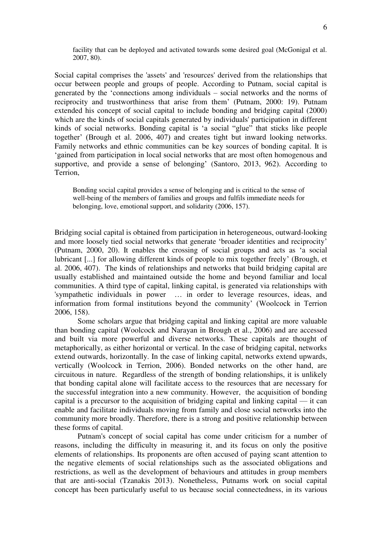facility that can be deployed and activated towards some desired goal (McGonigal et al. 2007, 80).

Social capital comprises the 'assets' and 'resources' derived from the relationships that occur between people and groups of people. According to Putnam, social capital is generated by the 'connections among individuals – social networks and the norms of reciprocity and trustworthiness that arise from them' (Putnam, 2000: 19). Putnam extended his concept of social capital to include bonding and bridging capital (2000) which are the kinds of social capitals generated by individuals' participation in different kinds of social networks. Bonding capital is 'a social "glue" that sticks like people together' (Brough et al. 2006, 407) and creates tight but inward looking networks. Family networks and ethnic communities can be key sources of bonding capital. It is 'gained from participation in local social networks that are most often homogenous and supportive, and provide a sense of belonging' (Santoro, 2013, 962). According to Terrion,

Bonding social capital provides a sense of belonging and is critical to the sense of well-being of the members of families and groups and fulfils immediate needs for belonging, love, emotional support, and solidarity (2006, 157).

Bridging social capital is obtained from participation in heterogeneous, outward-looking and more loosely tied social networks that generate 'broader identities and reciprocity' (Putnam, 2000, 20). It enables the crossing of social groups and acts as 'a social lubricant [...] for allowing different kinds of people to mix together freely' (Brough, et al. 2006, 407). The kinds of relationships and networks that build bridging capital are usually established and maintained outside the home and beyond familiar and local communities. A third type of capital, linking capital, is generated via relationships with 'sympathetic individuals in power … in order to leverage resources, ideas, and information from formal institutions beyond the community' (Woolcock in Terrion 2006, 158).

Some scholars argue that bridging capital and linking capital are more valuable than bonding capital (Woolcock and Narayan in Brough et al., 2006) and are accessed and built via more powerful and diverse networks. These capitals are thought of metaphorically, as either horizontal or vertical. In the case of bridging capital, networks extend outwards, horizontally. In the case of linking capital, networks extend upwards, vertically (Woolcock in Terrion, 2006). Bonded networks on the other hand, are circuitous in nature. Regardless of the strength of bonding relationships, it is unlikely that bonding capital alone will facilitate access to the resources that are necessary for the successful integration into a new community. However, the acquisition of bonding capital is a precursor to the acquisition of bridging capital and linking capital — it can enable and facilitate individuals moving from family and close social networks into the community more broadly. Therefore, there is a strong and positive relationship between these forms of capital.

Putnam's concept of social capital has come under criticism for a number of reasons, including the difficulty in measuring it, and its focus on only the positive elements of relationships. Its proponents are often accused of paying scant attention to the negative elements of social relationships such as the associated obligations and restrictions, as well as the development of behaviours and attitudes in group members that are anti-social (Tzanakis 2013). Nonetheless, Putnams work on social capital concept has been particularly useful to us because social connectedness, in its various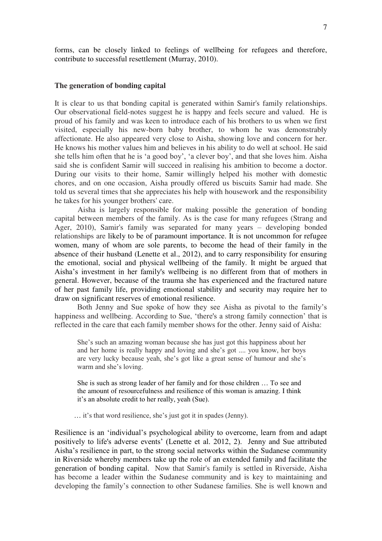forms, can be closely linked to feelings of wellbeing for refugees and therefore, contribute to successful resettlement (Murray, 2010).

#### **The generation of bonding capital**

It is clear to us that bonding capital is generated within Samir's family relationships. Our observational field-notes suggest he is happy and feels secure and valued. He is proud of his family and was keen to introduce each of his brothers to us when we first visited, especially his new-born baby brother, to whom he was demonstrably affectionate. He also appeared very close to Aisha, showing love and concern for her. He knows his mother values him and believes in his ability to do well at school. He said she tells him often that he is 'a good boy', 'a clever boy', and that she loves him. Aisha said she is confident Samir will succeed in realising his ambition to become a doctor. During our visits to their home, Samir willingly helped his mother with domestic chores, and on one occasion, Aisha proudly offered us biscuits Samir had made. She told us several times that she appreciates his help with housework and the responsibility he takes for his younger brothers' care.

Aisha is largely responsible for making possible the generation of bonding capital between members of the family. As is the case for many refugees (Strang and Ager, 2010), Samir's family was separated for many years – developing bonded relationships are likely to be of paramount importance. It is not uncommon for refugee women, many of whom are sole parents, to become the head of their family in the absence of their husband (Lenette et al., 2012), and to carry responsibility for ensuring the emotional, social and physical wellbeing of the family. It might be argued that Aisha's investment in her family's wellbeing is no different from that of mothers in general. However, because of the trauma she has experienced and the fractured nature of her past family life, providing emotional stability and security may require her to draw on significant reserves of emotional resilience.

Both Jenny and Sue spoke of how they see Aisha as pivotal to the family's happiness and wellbeing. According to Sue, 'there's a strong family connection' that is reflected in the care that each family member shows for the other. Jenny said of Aisha:

She's such an amazing woman because she has just got this happiness about her and her home is really happy and loving and she's got .... you know, her boys are very lucky because yeah, she's got like a great sense of humour and she's warm and she's loving.

She is such as strong leader of her family and for those children … To see and the amount of resourcefulness and resilience of this woman is amazing. I think it's an absolute credit to her really, yeah (Sue).

… it's that word resilience, she's just got it in spades (Jenny).

Resilience is an 'individual's psychological ability to overcome, learn from and adapt positively to life's adverse events' (Lenette et al. 2012, 2). Jenny and Sue attributed Aisha's resilience in part, to the strong social networks within the Sudanese community in Riverside whereby members take up the role of an extended family and facilitate the generation of bonding capital. Now that Samir's family is settled in Riverside, Aisha has become a leader within the Sudanese community and is key to maintaining and developing the family's connection to other Sudanese families. She is well known and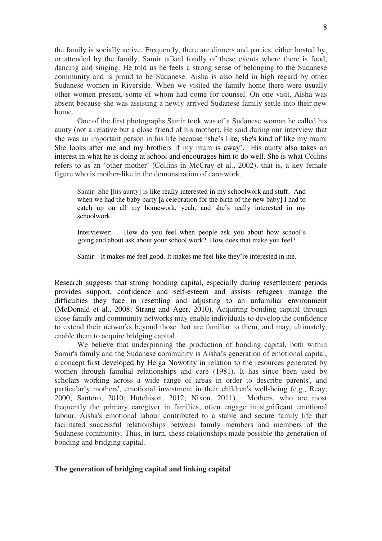the family is socially active. Frequently, there are dinners and parties, either hosted by, or attended by the family. Samir talked fondly of these events where there is food, dancing and singing. He told us he feels a strong sense of belonging to the Sudanese community and is proud to be Sudanese. Aisha is also held in high regard by other Sudanese women in Riverside. When we visited the family home there were usually other women present, some of whom had come for counsel. On one visit, Aisha was absent because she was assisting a newly arrived Sudanese family settle into their new home.

One of the first photographs Samir took was of a Sudanese woman he called his aunty (not a relative but a close friend of his mother). He said during our interview that she was an important person in his life because 'she's like, she's kind of like my mum. She looks after me and my brothers if my mum is away'. His aunty also takes an interest in what he is doing at school and encourages him to do well. She is what Collins refers to as an 'other mother' (Collins in McCray et al., 2002), that is, a key female figure who is mother-like in the demonstration of care-work.

Samir: She [his aunty] is like really interested in my schoolwork and stuff. And when we had the baby party [a celebration for the birth of the new baby] I had to catch up on all my homework, yeah, and she's really interested in my schoolwork.

Interviewer: How do you feel when people ask you about how school's going and about ask about your school work? How does that make you feel?

Samir: It makes me feel good. It makes me feel like they're interested in me.

Research suggests that strong bonding capital, especially during resettlement periods provides support, confidence and self-esteem and assists refugees manage the difficulties they face in resettling and adjusting to an unfamiliar environment (McDonald et al., 2008; Strang and Ager, 2010). Acquiring bonding capital through close family and community networks may enable individuals to develop the confidence to extend their networks beyond those that are familiar to them, and may, ultimately, enable them to acquire bridging capital.

We believe that underpinning the production of bonding capital, both within Samir's family and the Sudanese community is Aisha's generation of emotional capital, a concept first developed by Helga Nowotny in relation to the resources generated by women through familial relationships and care (1981). It has since been used by scholars working across a wide range of areas in order to describe parents', and particularly mothers', emotional investment in their children's well-being (e.g., Reay, 2000; Santoro, 2010; Hutchison, 2012; Nixon, 2011). Mothers, who are most frequently the primary caregiver in families, often engage in significant emotional labour. Aisha's emotional labour contributed to a stable and secure family life that facilitated successful relationships between family members and members of the Sudanese community. Thus, in turn, these relationships made possible the generation of bonding and bridging capital.

#### **The generation of bridging capital and linking capital**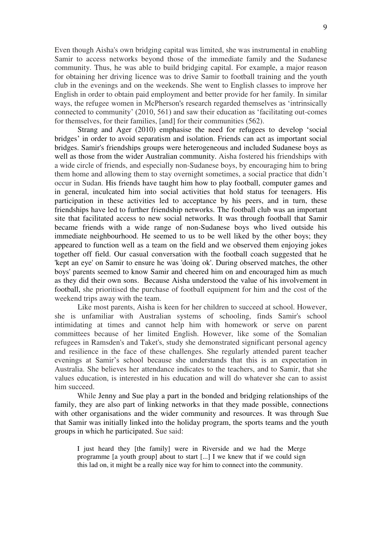Even though Aisha's own bridging capital was limited, she was instrumental in enabling Samir to access networks beyond those of the immediate family and the Sudanese community. Thus, he was able to build bridging capital. For example, a major reason for obtaining her driving licence was to drive Samir to football training and the youth club in the evenings and on the weekends. She went to English classes to improve her English in order to obtain paid employment and better provide for her family. In similar ways, the refugee women in McPherson's research regarded themselves as 'intrinsically connected to community' (2010, 561) and saw their education as 'facilitating out-comes for themselves, for their families, [and] for their communities (562).

Strang and Ager (2010) emphasise the need for refugees to develop 'social bridges' in order to avoid separatism and isolation. Friends can act as important social bridges. Samir's friendships groups were heterogeneous and included Sudanese boys as well as those from the wider Australian community. Aisha fostered his friendships with a wide circle of friends, and especially non-Sudanese boys, by encouraging him to bring them home and allowing them to stay overnight sometimes, a social practice that didn't occur in Sudan. His friends have taught him how to play football, computer games and in general, inculcated him into social activities that hold status for teenagers. His participation in these activities led to acceptance by his peers, and in turn, these friendships have led to further friendship networks. The football club was an important site that facilitated access to new social networks. It was through football that Samir became friends with a wide range of non-Sudanese boys who lived outside his immediate neighbourhood. He seemed to us to be well liked by the other boys; they appeared to function well as a team on the field and we observed them enjoying jokes together off field. Our casual conversation with the football coach suggested that he 'kept an eye' on Samir to ensure he was 'doing ok'. During observed matches, the other boys' parents seemed to know Samir and cheered him on and encouraged him as much as they did their own sons. Because Aisha understood the value of his involvement in football, she prioritised the purchase of football equipment for him and the cost of the weekend trips away with the team.

Like most parents, Aisha is keen for her children to succeed at school. However, she is unfamiliar with Australian systems of schooling, finds Samir's school intimidating at times and cannot help him with homework or serve on parent committees because of her limited English. However, like some of the Somalian refugees in Ramsden's and Taket's, study she demonstrated significant personal agency and resilience in the face of these challenges. She regularly attended parent teacher evenings at Samir's school because she understands that this is an expectation in Australia. She believes her attendance indicates to the teachers, and to Samir, that she values education, is interested in his education and will do whatever she can to assist him succeed.

While Jenny and Sue play a part in the bonded and bridging relationships of the family, they are also part of linking networks in that they made possible, connections with other organisations and the wider community and resources. It was through Sue that Samir was initially linked into the holiday program, the sports teams and the youth groups in which he participated. Sue said:

I just heard they [the family] were in Riverside and we had the Merge programme [a youth group] about to start [...] I we knew that if we could sign this lad on, it might be a really nice way for him to connect into the community.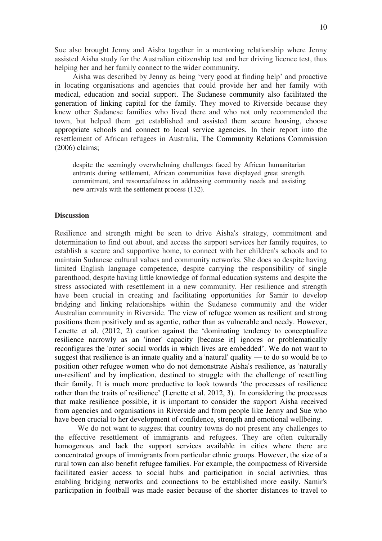Sue also brought Jenny and Aisha together in a mentoring relationship where Jenny assisted Aisha study for the Australian citizenship test and her driving licence test, thus helping her and her family connect to the wider community.

Aisha was described by Jenny as being 'very good at finding help' and proactive in locating organisations and agencies that could provide her and her family with medical, education and social support. The Sudanese community also facilitated the generation of linking capital for the family. They moved to Riverside because they knew other Sudanese families who lived there and who not only recommended the town, but helped them get established and assisted them secure housing, choose appropriate schools and connect to local service agencies. In their report into the resettlement of African refugees in Australia, The Community Relations Commission (2006) claims;

despite the seemingly overwhelming challenges faced by African humanitarian entrants during settlement, African communities have displayed great strength, commitment, and resourcefulness in addressing community needs and assisting new arrivals with the settlement process (132).

# **Discussion**

Resilience and strength might be seen to drive Aisha's strategy, commitment and determination to find out about, and access the support services her family requires, to establish a secure and supportive home, to connect with her children's schools and to maintain Sudanese cultural values and community networks. She does so despite having limited English language competence, despite carrying the responsibility of single parenthood, despite having little knowledge of formal education systems and despite the stress associated with resettlement in a new community. Her resilience and strength have been crucial in creating and facilitating opportunities for Samir to develop bridging and linking relationships within the Sudanese community and the wider Australian community in Riverside. The view of refugee women as resilient and strong positions them positively and as agentic, rather than as vulnerable and needy. However, Lenette et al. (2012, 2) caution against the 'dominating tendency to conceptualize resilience narrowly as an 'inner' capacity [because it] ignores or problematically reconfigures the 'outer' social worlds in which lives are embedded'. We do not want to suggest that resilience is an innate quality and a 'natural' quality — to do so would be to position other refugee women who do not demonstrate Aisha's resilience, as 'naturally un-resilient' and by implication, destined to struggle with the challenge of resettling their family. It is much more productive to look towards 'the processes of resilience rather than the traits of resilience' (Lenette et al. 2012, 3). In considering the processes that make resilience possible, it is important to consider the support Aisha received from agencies and organisations in Riverside and from people like Jenny and Sue who have been crucial to her development of confidence, strength and emotional wellbeing.

We do not want to suggest that country towns do not present any challenges to the effective resettlement of immigrants and refugees. They are often culturally homogenous and lack the support services available in cities where there are concentrated groups of immigrants from particular ethnic groups. However, the size of a rural town can also benefit refugee families. For example, the compactness of Riverside facilitated easier access to social hubs and participation in social activities, thus enabling bridging networks and connections to be established more easily. Samir's participation in football was made easier because of the shorter distances to travel to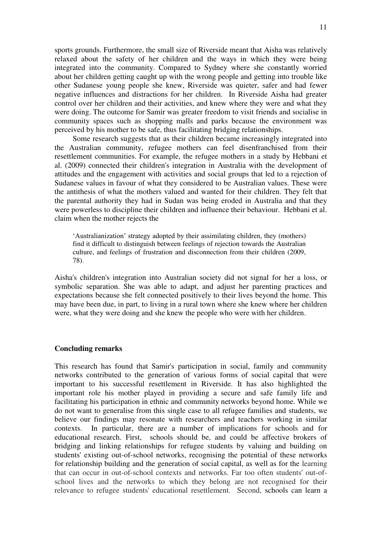sports grounds. Furthermore, the small size of Riverside meant that Aisha was relatively relaxed about the safety of her children and the ways in which they were being integrated into the community. Compared to Sydney where she constantly worried about her children getting caught up with the wrong people and getting into trouble like other Sudanese young people she knew, Riverside was quieter, safer and had fewer negative influences and distractions for her children. In Riverside Aisha had greater control over her children and their activities, and knew where they were and what they were doing. The outcome for Samir was greater freedom to visit friends and socialise in community spaces such as shopping malls and parks because the environment was perceived by his mother to be safe, thus facilitating bridging relationships.

Some research suggests that as their children became increasingly integrated into the Australian community, refugee mothers can feel disenfranchised from their resettlement communities. For example, the refugee mothers in a study by Hebbani et al. (2009) connected their children's integration in Australia with the development of attitudes and the engagement with activities and social groups that led to a rejection of Sudanese values in favour of what they considered to be Australian values. These were the antithesis of what the mothers valued and wanted for their children. They felt that the parental authority they had in Sudan was being eroded in Australia and that they were powerless to discipline their children and influence their behaviour. Hebbani et al. claim when the mother rejects the

'Australianization' strategy adopted by their assimilating children, they (mothers) find it difficult to distinguish between feelings of rejection towards the Australian culture, and feelings of frustration and disconnection from their children (2009, 78).

Aisha's children's integration into Australian society did not signal for her a loss, or symbolic separation. She was able to adapt, and adjust her parenting practices and expectations because she felt connected positively to their lives beyond the home. This may have been due, in part, to living in a rural town where she knew where her children were, what they were doing and she knew the people who were with her children.

## **Concluding remarks**

This research has found that Samir's participation in social, family and community networks contributed to the generation of various forms of social capital that were important to his successful resettlement in Riverside. It has also highlighted the important role his mother played in providing a secure and safe family life and facilitating his participation in ethnic and community networks beyond home. While we do not want to generalise from this single case to all refugee families and students, we believe our findings may resonate with researchers and teachers working in similar contexts. In particular, there are a number of implications for schools and for educational research. First, schools should be, and could be affective brokers of bridging and linking relationships for refugee students by valuing and building on students' existing out-of-school networks, recognising the potential of these networks for relationship building and the generation of social capital, as well as for the learning that can occur in out-of-school contexts and networks. Far too often students' out-ofschool lives and the networks to which they belong are not recognised for their relevance to refugee students' educational resettlement. Second, schools can learn a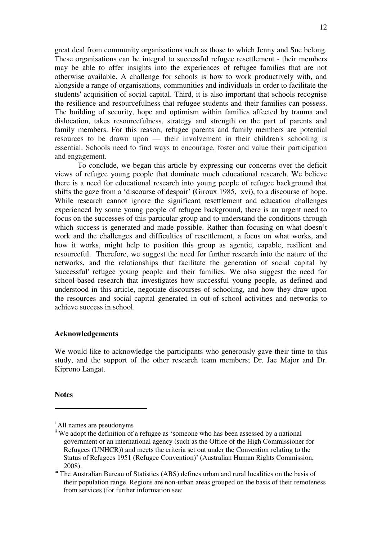great deal from community organisations such as those to which Jenny and Sue belong. These organisations can be integral to successful refugee resettlement - their members may be able to offer insights into the experiences of refugee families that are not otherwise available. A challenge for schools is how to work productively with, and alongside a range of organisations, communities and individuals in order to facilitate the students' acquisition of social capital. Third, it is also important that schools recognise the resilience and resourcefulness that refugee students and their families can possess. The building of security, hope and optimism within families affected by trauma and dislocation, takes resourcefulness, strategy and strength on the part of parents and family members. For this reason, refugee parents and family members are potential resources to be drawn upon — their involvement in their children's schooling is essential. Schools need to find ways to encourage, foster and value their participation and engagement.

To conclude, we began this article by expressing our concerns over the deficit views of refugee young people that dominate much educational research. We believe there is a need for educational research into young people of refugee background that shifts the gaze from a 'discourse of despair' (Giroux 1985, xvi), to a discourse of hope. While research cannot ignore the significant resettlement and education challenges experienced by some young people of refugee background, there is an urgent need to focus on the successes of this particular group and to understand the conditions through which success is generated and made possible. Rather than focusing on what doesn't work and the challenges and difficulties of resettlement, a focus on what works, and how it works, might help to position this group as agentic, capable, resilient and resourceful. Therefore, we suggest the need for further research into the nature of the networks, and the relationships that facilitate the generation of social capital by 'successful' refugee young people and their families. We also suggest the need for school-based research that investigates how successful young people, as defined and understood in this article, negotiate discourses of schooling, and how they draw upon the resources and social capital generated in out-of-school activities and networks to achieve success in school.

### **Acknowledgements**

We would like to acknowledge the participants who generously gave their time to this study, and the support of the other research team members; Dr. Jae Major and Dr. Kiprono Langat.

**Notes** 

-

i All names are pseudonyms

ii We adopt the definition of a refugee as 'someone who has been assessed by a national government or an international agency (such as the Office of the High Commissioner for Refugees (UNHCR)) and meets the criteria set out under the Convention relating to the Status of Refugees 1951 (Refugee Convention)' (Australian Human Rights Commission, 2008).

iii The Australian Bureau of Statistics (ABS) defines urban and rural localities on the basis of their population range. Regions are non-urban areas grouped on the basis of their remoteness from services (for further information see: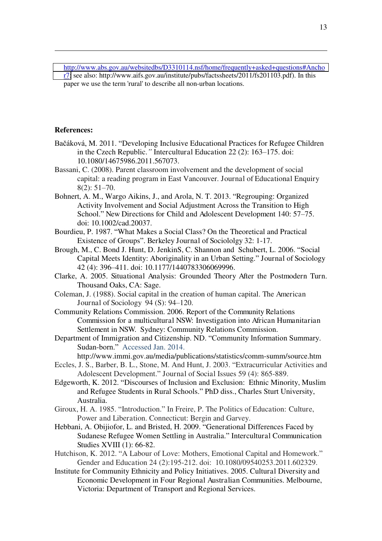[http://www.abs.gov.au/websitedbs/D3310114.nsf/home/frequently+asked+questions#Ancho](http://www.abs.gov.au/websitedbs/D3310114.nsf/home/frequently+asked+questions#Anchor7) [r7;](http://www.abs.gov.au/websitedbs/D3310114.nsf/home/frequently+asked+questions#Anchor7) see also: http://www.aifs.gov.au/institute/pubs/factssheets/2011/fs201103.pdf). In this paper we use the term 'rural' to describe all non-urban locations.

## **References:**

-

- Bačáková, M. 2011. "Developing Inclusive Educational Practices for Refugee Children in the Czech Republic.*"* Intercultural Education 22 (2): 163–175. doi: 10.1080/14675986.2011.567073.
- Bassani, C. (2008). Parent classroom involvement and the development of social capital: a reading program in East Vancouver. Journal of Educational Enquiry 8(2): 51–70.
- Bohnert, A. M., Wargo Aikins, J., and Arola, N. T. 2013. "Regrouping: Organized Activity Involvement and Social Adjustment Across the Transition to High School." New Directions for Child and Adolescent Development 140: 57–75. doi: 10.1002/cad.20037.
- Bourdieu, P. 1987. "What Makes a Social Class? On the Theoretical and Practical Existence of Groups". Berkeley Journal of Sociololgy 32: 1-17.
- Brough, M., C. Bond J. Hunt, D. JenkinS, C. Shannon and Schubert, L. 2006. "Social Capital Meets Identity: Aboriginality in an Urban Setting." Journal of Sociology 42 (4): 396–411. doi: 10.1177/1440783306069996.
- Clarke, A. 2005. Situational Analysis: Grounded Theory After the Postmodern Turn. Thousand Oaks, CA: Sage.
- Coleman, J. (1988). Social capital in the creation of human capital. The American Journal of Sociology 94 (S): 94–120.
- Community Relations Commission. 2006. Report of the Community Relations Commission for a multicultural NSW: Investigation into African Humanitarian Settlement in NSW. Sydney: Community Relations Commission.
- Department of Immigration and Citizenship. ND. "Community Information Summary. Sudan-born." Accessed Jan. 2014.

http://www.immi.gov.au/media/publications/statistics/comm-summ/source.htm

- Eccles, J. S., Barber, B. L., Stone, M. And Hunt, J. 2003. "Extracurricular Activities and Adolescent Development." Journal of Social Issues 59 (4): 865-889.
- Edgeworth, K. 2012. "Discourses of Inclusion and Exclusion: Ethnic Minority, Muslim and Refugee Students in Rural Schools." PhD diss., Charles Sturt University, Australia.
- Giroux, H. A. 1985. "Introduction." In Freire, P. The Politics of Education: Culture, Power and Liberation. Connecticut: Bergin and Garvey.
- Hebbani, A. Obijiofor, L. and Bristed, H. 2009. "Generational Differences Faced by Sudanese Refugee Women Settling in Australia." Intercultural Communication Studies XVIII (1): 66-82.
- Hutchison, K. 2012. "A Labour of Love: Mothers, Emotional Capital and Homework." Gender and Education 24 (2):195-212. doi: 10.1080/09540253.2011.602329.
- Institute for Community Ethnicity and Policy Initiatives. 2005. Cultural Diversity and Economic Development in Four Regional Australian Communities. Melbourne, Victoria: Department of Transport and Regional Services.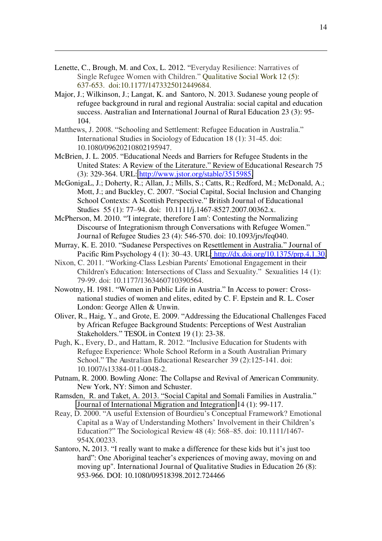Lenette, C., Brough, M. and Cox, L. 2012. "Everyday Resilience: Narratives of Single Refugee Women with Children." Qualitative Social Work 12 (5): 637-653. doi:10.1177/1473325012449684.

-

- Major, J.; Wilkinson, J.; Langat, K. and Santoro, N. 2013. Sudanese young people of refugee background in rural and regional Australia: social capital and education success. Australian and International Journal of Rural Education 23 (3): 95- 104.
- Matthews, J. 2008. "Schooling and Settlement: Refugee Education in Australia." International Studies in Sociology of Education 18 (1): 31-45. doi: 10.1080/09620210802195947.
- McBrien, J. L. 2005. "Educational Needs and Barriers for Refugee Students in the United States: A Review of the Literature." Review of Educational Research 75 (3): 329-364. URL: [http://www.jstor.org/stable/3515985.](http://www.jstor.org/stable/3515985)
- McGonigaL, J.; Doherty, R.; Allan, J.; Mills, S.; Catts, R.; Redford, M.; McDonald, A.; Mott, J.; and Buckley, C. 2007. "Social Capital, Social Inclusion and Changing School Contexts: A Scottish Perspective." British Journal of Educational Studies 55 (1): 77-94. doi: 10.1111/j.1467-8527.2007.00362.x.
- McPherson, M. 2010. "'I integrate, therefore I am': Contesting the Normalizing Discourse of Integrationism through Conversations with Refugee Women." Journal of Refugee Studies 23 (4): 546-570. doi: 10.1093/jrs/feq040.
- Murray, K. E. 2010. "Sudanese Perspectives on Resettlement in Australia." Journal of Pacific Rim Psychology 4 (1): 30–43. URL[: http://dx.doi.org/10.1375/prp.4.1.30.](http://dx.doi.org/10.1375/prp.4.1.30)
- Nixon, C. 2011. "Working-Class Lesbian Parents' Emotional Engagement in their Children's Education: Intersections of Class and Sexuality." Sexualities 14 (1): 79-99. doi: 10.1177/1363460710390564.
- Nowotny, H. 1981. "Women in Public Life in Austria." In Access to power: Crossnational studies of women and elites, edited by C. F. Epstein and R. L. Coser London: George Allen & Unwin.
- Oliver, R., Haig, Y., and Grote, E. 2009. "Addressing the Educational Challenges Faced by African Refugee Background Students: Perceptions of West Australian Stakeholders." TESOL in Context 19 (1): 23-38.
- Pugh, K., Every, D., and Hattam, R. 2012. "Inclusive Education for Students with Refugee Experience: Whole School Reform in a South Australian Primary School." The Australian Educational Researcher 39 (2):125-141. doi: 10.1007/s13384-011-0048-2.
- Putnam, R. 2000. Bowling Alone: The Collapse and Revival of American Community. New York, NY: Simon and Schuster.
- Ramsden, R. and Taket, A. 2013. "Social Capital and Somali Families in Australia." [Journal of International Migration and Integration](http://link.springer.com/journal/12134) 14 (1): 99-117.
- Reay, D. 2000. "A useful Extension of Bourdieu's Conceptual Framework? Emotional Capital as a Way of Understanding Mothers' Involvement in their Children's Education?" The Sociological Review 48 (4): 568–85. doi: 10.1111/1467- 954X.00233.
- Santoro, N**.** 2013. "I really want to make a difference for these kids but it's just too hard": One Aboriginal teacher's experiences of moving away, moving on and moving up". International Journal of Qualitative Studies in Education 26 (8): 953-966. DOI: 10.1080/09518398.2012.724466